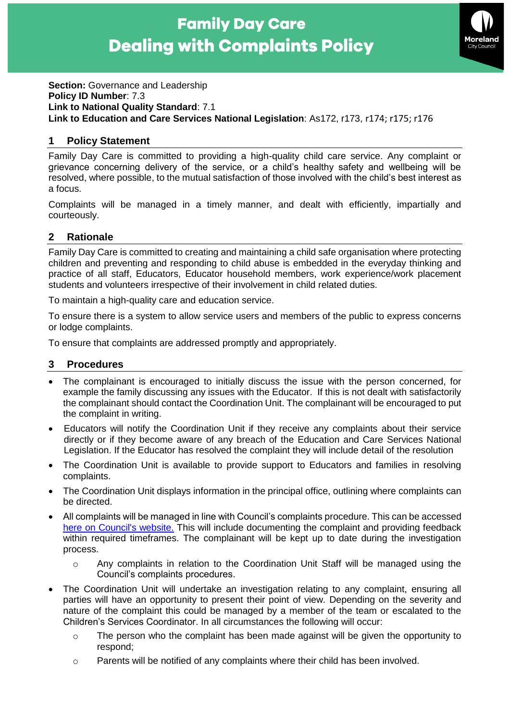# **Family Day Care Dealing with Complaints Policy**



**Section: Governance and Leadership Policy ID Number**: 7.3 **Link to National Quality Standard**: 7.1 **Link to Education and Care Services National Legislation**: As172, r173, r174; r175; r176

## **1 Policy Statement**

Family Day Care is committed to providing a high-quality child care service. Any complaint or grievance concerning delivery of the service, or a child's healthy safety and wellbeing will be resolved, where possible, to the mutual satisfaction of those involved with the child's best interest as a focus.

Complaints will be managed in a timely manner, and dealt with efficiently, impartially and courteously.

# **2 Rationale**

Family Day Care is committed to creating and maintaining a child safe organisation where protecting children and preventing and responding to child abuse is embedded in the everyday thinking and practice of all staff, Educators, Educator household members, work experience/work placement students and volunteers irrespective of their involvement in child related duties.

To maintain a high-quality care and education service.

To ensure there is a system to allow service users and members of the public to express concerns or lodge complaints.

To ensure that complaints are addressed promptly and appropriately.

## **3 Procedures**

- The complainant is encouraged to initially discuss the issue with the person concerned, for example the family discussing any issues with the Educator. If this is not dealt with satisfactorily the complainant should contact the Coordination Unit. The complainant will be encouraged to put the complaint in writing.
- Educators will notify the Coordination Unit if they receive any complaints about their service directly or if they become aware of any breach of the Education and Care Services National Legislation. If the Educator has resolved the complaint they will include detail of the resolution
- The Coordination Unit is available to provide support to Educators and families in resolving complaints.
- The Coordination Unit displays information in the principal office, outlining where complaints can be directed.
- All complaints will be managed in line with Council's complaints procedure. This can be accessed [here on Council's website.](https://www.moreland.vic.gov.au/about-us/your-council/contact-us/service-commitment-complaints/) This will include documenting the complaint and providing feedback within required timeframes. The complainant will be kept up to date during the investigation process.
	- o Any complaints in relation to the Coordination Unit Staff will be managed using the Council's complaints procedures.
- The Coordination Unit will undertake an investigation relating to any complaint, ensuring all parties will have an opportunity to present their point of view. Depending on the severity and nature of the complaint this could be managed by a member of the team or escalated to the Children's Services Coordinator. In all circumstances the following will occur:
	- o The person who the complaint has been made against will be given the opportunity to respond;
	- $\circ$  Parents will be notified of any complaints where their child has been involved.